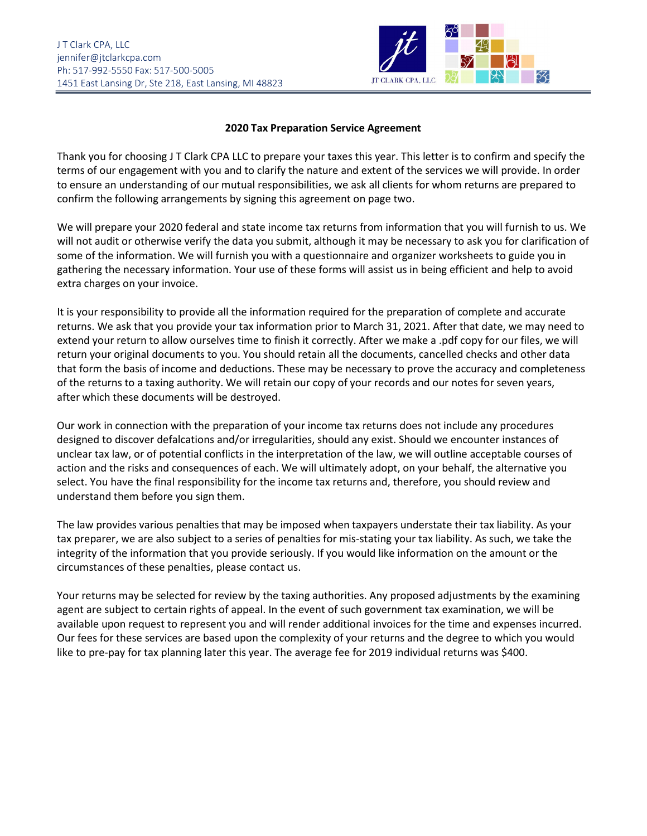

## **2020 Tax Preparation Service Agreement**

Thank you for choosing J T Clark CPA LLC to prepare your taxes this year. This letter is to confirm and specify the terms of our engagement with you and to clarify the nature and extent of the services we will provide. In order to ensure an understanding of our mutual responsibilities, we ask all clients for whom returns are prepared to confirm the following arrangements by signing this agreement on page two.

We will prepare your 2020 federal and state income tax returns from information that you will furnish to us. We will not audit or otherwise verify the data you submit, although it may be necessary to ask you for clarification of some of the information. We will furnish you with a questionnaire and organizer worksheets to guide you in gathering the necessary information. Your use of these forms will assist us in being efficient and help to avoid extra charges on your invoice.

It is your responsibility to provide all the information required for the preparation of complete and accurate returns. We ask that you provide your tax information prior to March 31, 2021. After that date, we may need to extend your return to allow ourselves time to finish it correctly. After we make a .pdf copy for our files, we will return your original documents to you. You should retain all the documents, cancelled checks and other data that form the basis of income and deductions. These may be necessary to prove the accuracy and completeness of the returns to a taxing authority. We will retain our copy of your records and our notes for seven years, after which these documents will be destroyed.

Our work in connection with the preparation of your income tax returns does not include any procedures designed to discover defalcations and/or irregularities, should any exist. Should we encounter instances of unclear tax law, or of potential conflicts in the interpretation of the law, we will outline acceptable courses of action and the risks and consequences of each. We will ultimately adopt, on your behalf, the alternative you select. You have the final responsibility for the income tax returns and, therefore, you should review and understand them before you sign them.

The law provides various penalties that may be imposed when taxpayers understate their tax liability. As your tax preparer, we are also subject to a series of penalties for mis-stating your tax liability. As such, we take the integrity of the information that you provide seriously. If you would like information on the amount or the circumstances of these penalties, please contact us.

Your returns may be selected for review by the taxing authorities. Any proposed adjustments by the examining agent are subject to certain rights of appeal. In the event of such government tax examination, we will be available upon request to represent you and will render additional invoices for the time and expenses incurred. Our fees for these services are based upon the complexity of your returns and the degree to which you would like to pre-pay for tax planning later this year. The average fee for 2019 individual returns was \$400.